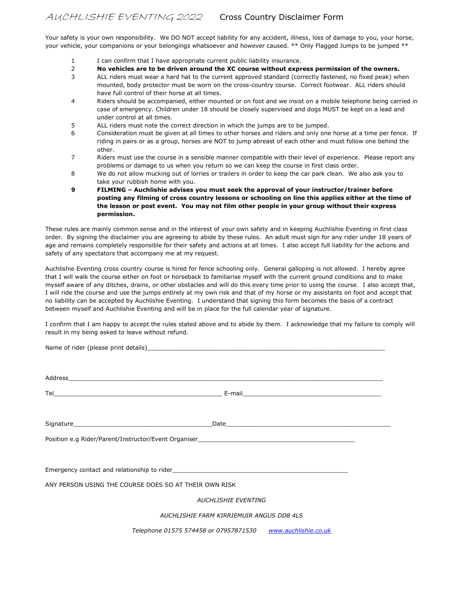Your safety is your own responsibility. We DO NOT accept liability for any accident, illness, loss of damage to you, your horse, your vehicle, your companions or your belongings whatsoever and however caused. \*\* Only Flagged Jumps to be jumped \*\*

- 1 I can confirm that I have appropriate current public liability insurance.
- 2 No vehicles are to be driven around the XC course without express permission of the owners.
- 3 ALL riders must wear a hard hat to the current approved standard (correctly fastened, no fixed peak) when mounted, body protector must be worn on the cross-country course. Correct footwear. ALL riders should have full control of their horse at all times.
- 4 Riders should be accompanied, either mounted or on foot and we insist on a mobile telephone being carried in case of emergency. Children under 18 should be closely supervised and dogs MUST be kept on a lead and under control at all times.
- 5 ALL riders must note the correct direction in which the jumps are to be jumped.
- 6 Consideration must be given at all times to other horses and riders and only one horse at a time per fence. If riding in pairs or as a group, horses are NOT to jump abreast of each other and must follow one behind the other.
- 7 Riders must use the course in a sensible manner compatible with their level of experience. Please report any problems or damage to us when you return so we can keep the course in first class order.
- 8 We do not allow mucking out of lorries or trailers in order to keep the car park clean. We also ask you to take your rubbish home with you.
- 9 FILMING Auchlishie advises you must seek the approval of your instructor/trainer before posting any filming of cross country lessons or schooling on line this applies either at the time of the lesson or post event. You may not film other people in your group without their express permission.

These rules are mainly common sense and in the interest of your own safety and in keeping Auchlishie Eventing in first class order. By signing the disclaimer you are agreeing to abide by these rules. An adult must sign for any rider under 18 years of age and remains completely responsible for their safety and actions at all times. I also accept full liability for the actions and safety of any spectators that accompany me at my request.

Auchlishie Eventing cross country course is hired for fence schooling only. General galloping is not allowed. I hereby agree that I will walk the course either on foot or horseback to familiarise myself with the current ground conditions and to make myself aware of any ditches, drains, or other obstacles and will do this every time prior to using the course. I also accept that, I will ride the course and use the jumps entirely at my own risk and that of my horse or my assistants on foot and accept that no liability can be accepted by Auchlishie Eventing. I understand that signing this form becomes the basis of a contract between myself and Auchlishie Eventing and will be in place for the full calendar year of signature.

I confirm that I am happy to accept the rules stated above and to abide by them. I acknowledge that my failure to comply will result in my being asked to leave without refund.

| ANY PERSON USING THE COURSE DOES SO AT THEIR OWN RISK      |  |
|------------------------------------------------------------|--|
| <b>AUCHLISHIE EVENTING</b>                                 |  |
| AUCHLISHIE FARM KIRRIEMUIR ANGUS DD8 4LS                   |  |
| Telephone 01575 574458 or 07957871530 www.auchlishie.co.uk |  |

Name of rider (please print details)